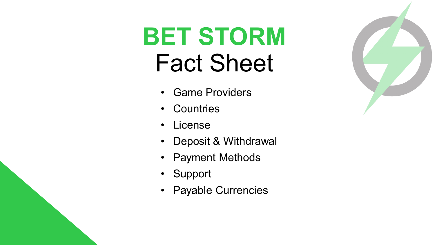# **BET STORM**  Fact Sheet

- Game Providers
- Countries
- License
- Deposit & Withdrawal
- Payment Methods
- Support
- Payable Currencies

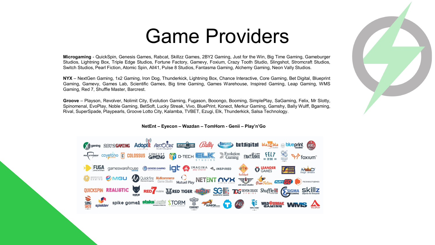### Game Providers

**Microgaming** - QuickSpin, Genesis Games, Rabcat, Skillzz Games, 2BY2 Gaming, Just for the Win, Big Time Gaming, Gameburger Studios, Lightning Box, Triple Edge Studios, Fortune Factory, Gamevy, Foxium, Crazy Tooth Studio, Slingshot, Stromcraft Studios, Switch Studios, Pearl Fiction, Atomic Spin, All41, Pulse 8 Studios, Fantasma Gaming, Alchemy Gaming, Neon Vally Studios.

**NYX** – NextGen Gaming, 1x2 Gaming, Iron Dog, Thunderkick, Lightning Box, Chance Interactive, Core Gaming, Bet Digital, Blueprint Gaming, Gamevy, Games Lab, Scientific Games, Big time Gaming, Games Warehouse, Inspired Gaming, Leap Gaming, WMS Gaming, Red 7, Shuffle Master, Barcrest.

**Groove** – Playson, Revolver, Nolimit City, Evolution Gaming, Fugason, Booongo, Booming, SimplePlay, SaGaming, Felix, Mr Slotty, Spinomenal, EvoPlay, Noble Gaming, BetSoft, Lucky Streak, Vivo, BluePrint, Konect, Merkur Gaming, Gamshy, Bally Wulff, Bgaming, Rival, SuperSpade, Playpearls, Groove Lotto City, Kalamba, TVBET, Ezugi, Elk, Thunderkick, Salsa Technology.

**NetEnt – Eyecon – Wazdan – TomHorn - Genii – Play'n'Go**

V2 gaming 2BY2CAMING Adoptit ARISTOCRAT ESTIMATES (Bally Chargest) butdigital blant bla Stelle Solvegring GTG **SULLER COLLER CONCEPT OF D-TECH ELL SUBLISHED FANTASMA FELT SO POSITION CONCEPT OF D-TECH ELL SUBLISHED SUBLISHED OF SUBLISHED SUBLISHED SUBLISHED SUBLISHED SUBLISHED SUBLISHED SUBLISHED SUBLISHED SUBLISHED SUBLISHED SUBL** FUGA gameswarehouse GGENESIS GAMING IST SAL IMAGINA **EANDER** MO EXERCISE PO MGU QUICkfire Multicommerce Q NETENT ME NE AND RESERVE CHAVING TO QUICKSPIN REALISTIC RED' RED' MODIE TO RELEX SO TO SEVERIFICE Shuffless SIGMA SKILL S. E WIDGETREAK WINTS A spike games **stake**Logie STORM **SUNFOX** 

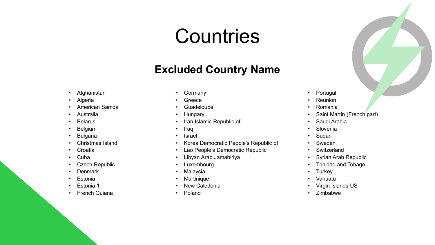# **Countries**

#### **Excluded Country Name**

- Afghanistan
- Algeria
- American Samoa
- Australia
- **Belarus**
- **Belgium**
- **Bulgaria**
- Christmas Island
- Croatia
- Cuba
- **Czech Republic**
- **Denmark**
- **Estonia**
- Estonia 1
- **French Guiana**
- **Germany**
- **Greece**
- **Guadeloupe**
- **Hungary**
- Iran Islamic Republic of
- Iraq
- Israel
- Korea Democratic People's Republic of
- Lao People's Democratic Republic
- Libyan Arab Jamahiriya
- **Luxembourg**
- Malaysia
- **Martinique**
- New Caledonia
- Poland
- Portugal
- Reunion
- Romania
- Saint Martin (French part)
- Saudi Arabia
- Slovenia
- Sudan
- Sweden
- Switzerland
- Syrian Arab Republic
- Trinidad and Tobago
- Turkey
- Vanuatu
- Virgin Islands US
- Zimbabwe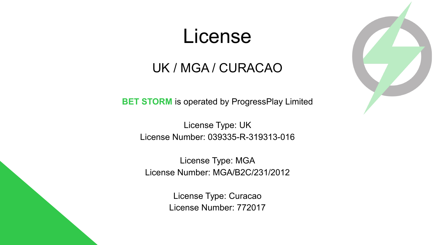### License

#### UK / MGA / CURACAO

**BET STORM** is operated by ProgressPlay Limited

License Type: UK License Number: 039335-R-319313-016

License Type: MGA License Number: MGA/B2C/231/2012

> License Type: Curacao License Number: 772017

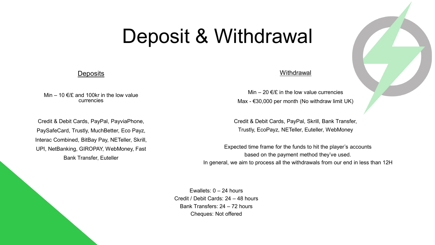## Deposit & Withdrawal

#### **Deposits**

Min – 10  $E/E$  and 100kr in the low value currencies

Credit & Debit Cards, PayPal, PayviaPhone, PaySafeCard, Trustly, MuchBetter, Eco Payz, Interac Combined, BitBay Pay, NETeller, Skrill, UPI, NetBanking, GIROPAY, WebMoney, Fast Bank Transfer, Euteller

#### **Withdrawal**

Min – 20  $E/E$  in the low value currencies Max - €30,000 per month (No withdraw limit UK)

Credit & Debit Cards, PayPal, Skrill, Bank Transfer, Trustly, EcoPayz, NETeller, Euteller, WebMoney

Expected time frame for the funds to hit the player's accounts based on the payment method they've used. In general, we aim to process all the withdrawals from our end in less than 12H

Ewallets:  $0 - 24$  hours Credit / Debit Cards: 24 – 48 hours Bank Transfers: 24 – 72 hours Cheques: Not offered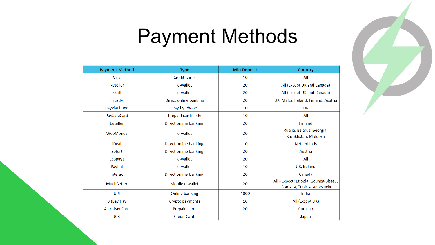

## Payment Methods

| <b>Payment Method</b> | <b>Type</b>           | <b>Min Deposit</b> | Country                                                              |
|-----------------------|-----------------------|--------------------|----------------------------------------------------------------------|
| <b>Visa</b>           | <b>Credit Cards</b>   | 10                 | All                                                                  |
| <b>Neteller</b>       | e-wallet              | 20                 | All (Except UK and Canada)                                           |
| <b>Skrill</b>         | e-wallet              | 20                 | All (Except UK and Canada)                                           |
| <b>Trustly</b>        | Direct online banking | 20                 | UK, Malta, Ireland, Finland, Austria                                 |
| PayviaPhone           | Pay by Phone          | 10                 | UK                                                                   |
| PaySafeCard           | Prepaid card/code     | 10                 | All                                                                  |
| Euteller              | Direct online banking | 20                 | Finland                                                              |
| WebMoney              | e-wallet              | 20                 | Russia, Belarus, Georgia,<br>Kazakhstan, Moldova                     |
| iDeal                 | Direct online banking | 10                 | <b>Netherlands</b>                                                   |
| Sofort                | Direct online banking | 20                 | Austria                                                              |
| Ecopayz               | e-wallet              | 20                 | All                                                                  |
| PayPal                | e-wallet              | 10                 | UK, Ireland                                                          |
| <b>Interac</b>        | Direct online banking | 20                 | Canada                                                               |
| MuchBetter            | Mobile e-wallet       | 20                 | All - Expect: Etiopia, Geunea-Bissau,<br>Somalia, Tunisia, Venezuela |
| UPI                   | <b>Online banking</b> | 1000               | India                                                                |
| <b>BitBay Pay</b>     | Crypto payments       | 10                 | All (Except UK)                                                      |
| <b>AstroPay Card</b>  | Prepaid card          | 20                 | Curacao                                                              |
| <b>JCB</b>            | <b>Credit Card</b>    |                    | Japan                                                                |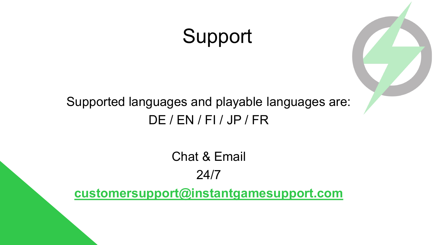# Support



Chat & Email 24/7

**[customersupport@instantgamesupport.com](mailto:customersupport@instantgamesupport.com)**